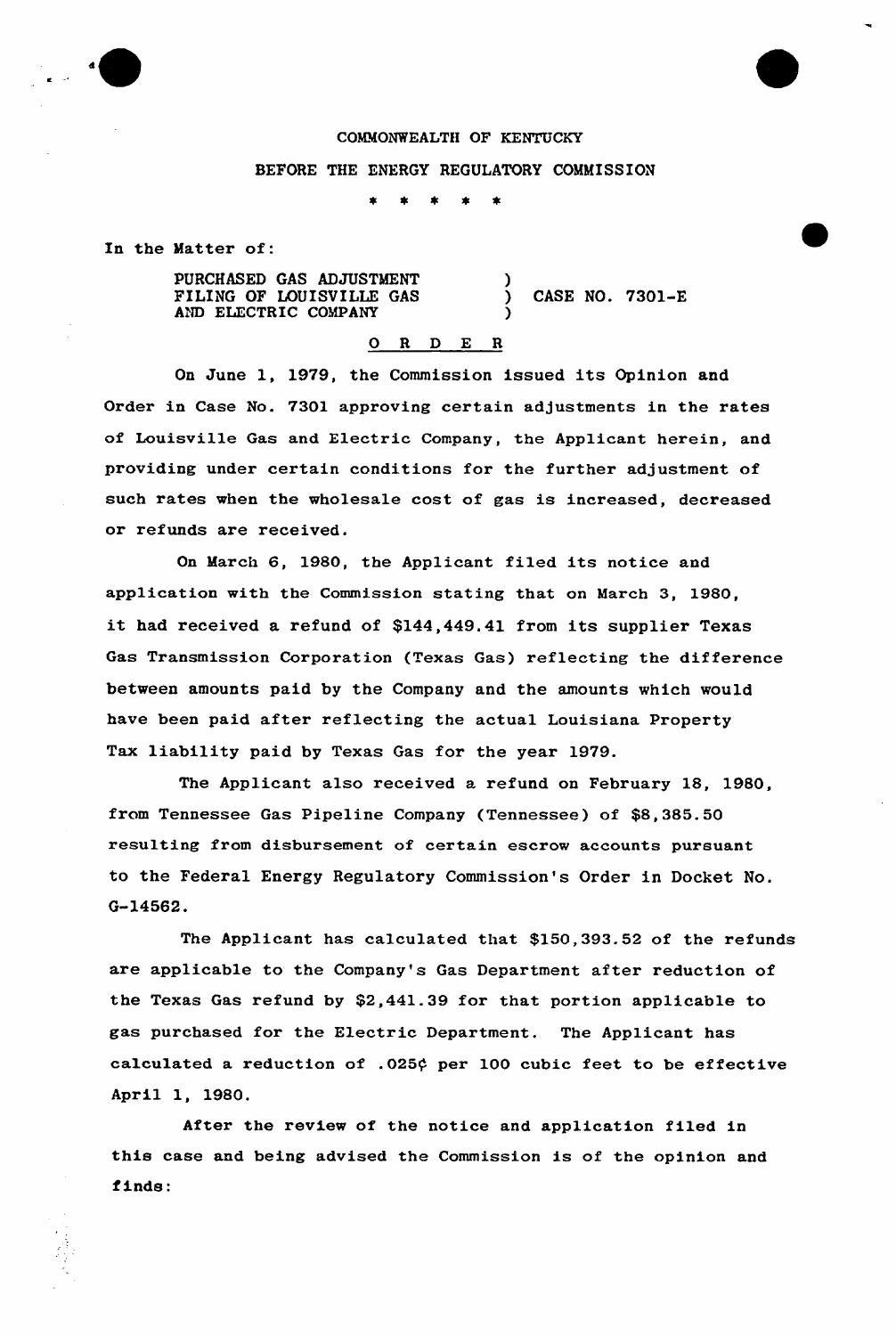

## COMMONWEALTH OF KENTUCKY

## BEFORE THE ENERGY REGULATORY COMMISSION

)

)

In the Matter of:

PURCHASED GAS ADJUSTMENT FILING OF LOUISVILLE GAS AND ELECTRIC COMPANY

) CASE NO. 7301-E

## 0 R <sup>D</sup> E <sup>R</sup>

On June 1, 1979, the Commission issued its Opinion and Order in Case No. 7301 approving certain adjustments in the rates of Louisville Gas and Electric Company, the Applicant herein, and providing under certain conditions for the further adjustment of such rates when the wholesale cost of gas is increased, decreased or refunds are received.

On March 6, 1980, the Applicant filed its notice and application with the Commission stating that on March 3, 1980, it had received <sup>a</sup> refund of \$144,449.41 from its supplier Texas Gas Transmission Corporation (Texas Gas) reflecting the difference between amounts paid by the Company and the amounts which would have been paid after reflecting the actual Louisiana Property Tax liability paid by Texas Gas for the year 1979.

The Applicant also received a refund on February 18, 1980, from Tennessee Gas Pipeline Company (Tennessee) of \$8,385.50 resulting from disbursement of certain escrow accounts pursuant to the Federal Energy Regulatory Commission's Order in Docket No. G-14562.

The Applicant has calculated that \$150,393.52 of the refunds are applicable to the Company's Gas Department after reduction of the Texas Gas refund by \$2,441.39 for that portion applicable to gas purchased for the Electric Department. The Applicant has calculated a reduction of .025¢ per 100 cubic feet to be effective April 1, 1980.

After the review of the notice and application filed in this case and being advised the Commission is of the opinion and finds: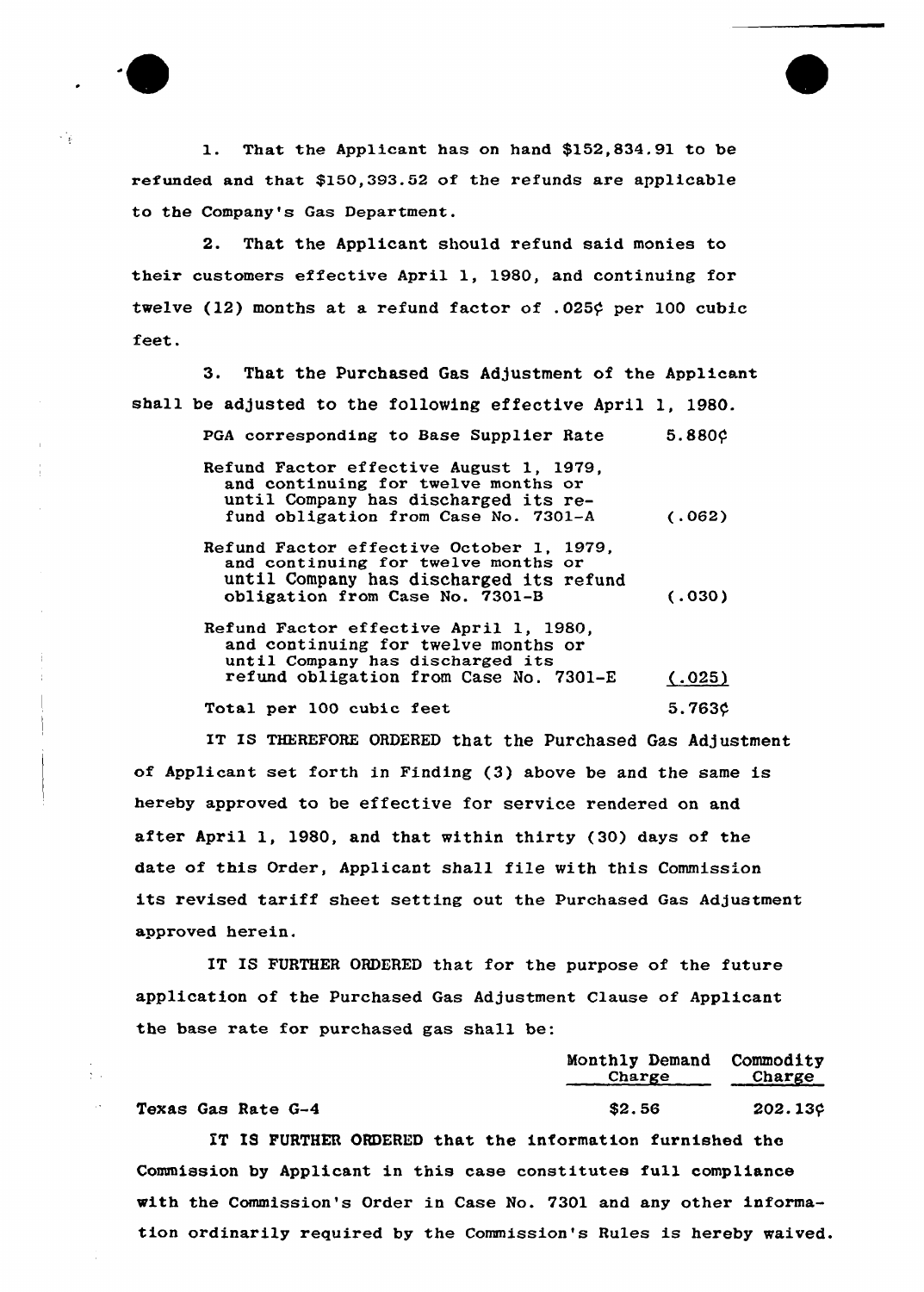1. That the Applicant has on hand \$152,834.91 to be refunded and that \$150,393.52 of the refunds are applicable to the Company's Gas Department.

2. That the Applicant should refund said monies to their customers effective April 1, 1980, and continuing for twelve (12) months at a refund factor of .025 $\phi$  per 100 cubic feet.

3. That the purchased Gas Adjustment of the Applicant shall be adjusted to the following effective April 1, 1980. PGA corresponding to Base Supplier Rate 5.880¢ Refund Factor effective August 1, 1979, and continuing for twelve months or until Company has discharged its refund obligation from Case No. 7301-A Refund Factor effective October 1, 1979, and continuing for twelve months or until Company has discharged its refund obligation from Case No. 7301-B Refund Factor effective April 1, 1980, and continuing for twelve months or until Company has discharged its refund obligation from Case No. 7301-E (.062) (.030)  $(.025)$ 

Total per 100 cubic feet

IT IS THEREFORE ORDERED that the Purchased Gas Adjustment of Applicant set forth in Finding (3} above be and the same is hereby approved to be effective for service rendered on and after April 1, 1980, and that within thirty (30) days of the date of this Order, Applicant shall file with this Commission its revised tariff sheet setting out the Purchased Gas Adjustment approved herein.

IT IS FURTHER ORDERED that for the purpose of the future application of the Purchased Gas Adjustment Clause of Applicant the base rate for purchased gas shall be:

Monthly Demand Commodity Charge Charge Texas Gas Rate  $G-4$   $$2.56$   $202.13$ ¢

5.763\$

 $\frac{1}{2}$  .  $\frac{1}{2}$ 

 $\sim$ 

 $\mathcal{L}_{\mathcal{A}}$ 

IT IS FURTHER ORDERED that the information furnished the Commission by Applicant in this case constitutes full compliance with the Commission's Order in Case No. 7301 and any other information ordinarily required by the Commission's Rules is hereby waived.